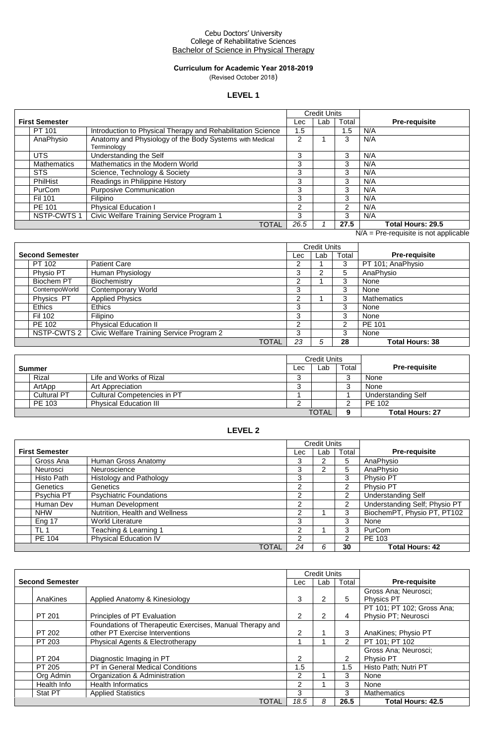#### Cebu Doctors' University College of Rehabilitative Sciences Bachelor of Science in Physical Therapy

### **Curriculum for Academic Year 2018-2019** (Revised October 2018)

# **LEVEL 1**

|                       |                                                                        |      | <b>Credit Units</b> |       |                      |
|-----------------------|------------------------------------------------------------------------|------|---------------------|-------|----------------------|
| <b>First Semester</b> |                                                                        | Lec  | Lab                 | Total | <b>Pre-requisite</b> |
| PT 101                | Introduction to Physical Therapy and Rehabilitation Science            | 1.5  |                     | 1.5   | N/A                  |
| AnaPhysio             | Anatomy and Physiology of the Body Systems with Medical<br>Terminology | 2    |                     | 3     | N/A                  |
| <b>UTS</b>            | Understanding the Self                                                 | 3    |                     | 3     | N/A                  |
| <b>Mathematics</b>    | Mathematics in the Modern World                                        | 3    |                     | 3     | N/A                  |
| <b>STS</b>            | Science, Technology & Society                                          | 3    |                     | 3     | N/A                  |
| PhilHist              | Readings in Philippine History                                         | 3    |                     | 3     | N/A                  |
| <b>PurCom</b>         | <b>Purposive Communication</b>                                         | 3    |                     | 3     | N/A                  |
| Fil 101               | <b>Filipino</b>                                                        | 3    |                     | 3     | N/A                  |
| PE 101                | <b>Physical Education I</b>                                            | 2    |                     | 2     | N/A                  |
| <b>NSTP-CWTS1</b>     | Civic Welfare Training Service Program 1                               | 3    |                     | 3     | N/A                  |
|                       | <b>TOTAL</b>                                                           | 26.5 |                     | 27.5  | Total Hours: 29.5    |

N/A = Pre-requisite is not applicable

| <b>Credit Units</b>    |                                          |       |     |     |       |                        |
|------------------------|------------------------------------------|-------|-----|-----|-------|------------------------|
| <b>Second Semester</b> |                                          |       | Lec | Lab | Total | <b>Pre-requisite</b>   |
| PT 102                 | <b>Patient Care</b>                      |       | າ   |     | 3     | PT 101; AnaPhysio      |
| Physio PT              | Human Physiology                         |       | 3   | 2   | 5     | AnaPhysio              |
| Biochem PT             | Biochemistry                             |       | 2   |     | 3     | None                   |
| ContempoWorld          | Contemporary World                       |       | 3   |     | 3     | None                   |
| Physics PT             | <b>Applied Physics</b>                   |       | າ   |     | 3     | <b>Mathematics</b>     |
| <b>Ethics</b>          | <b>Ethics</b>                            |       | 3   |     | 3     | None                   |
| Fil 102                | Filipino                                 |       | 3   |     | 3     | None                   |
| PE 102                 | <b>Physical Education II</b>             |       | ົ   |     | 2     | PE 101                 |
| NSTP-CWTS 2            | Civic Welfare Training Service Program 2 |       | 3   |     | 3     | None                   |
|                        |                                          | TOTAL | 23  | 5   | 28    | <b>Total Hours: 38</b> |

|                    |                               | <b>Credit Units</b> |              |       |                        |
|--------------------|-------------------------------|---------------------|--------------|-------|------------------------|
| <b>Summer</b>      |                               | Lec                 | Lab          | Total | <b>Pre-requisite</b>   |
| Rizal              | Life and Works of Rizal       | ◠<br>ٮ              |              |       | None                   |
| ArtApp             | Art Appreciation              | ◠                   |              |       | None                   |
| <b>Cultural PT</b> | Cultural Competencies in PT   |                     |              |       | Understanding Self     |
| PE 103             | <b>Physical Education III</b> | ⌒                   |              |       | PE 102                 |
|                    |                               |                     | <b>TOTAL</b> |       | <b>Total Hours: 27</b> |

### **LEVEL 2**

|                       |                                |     | <b>Credit Units</b> |               |                               |
|-----------------------|--------------------------------|-----|---------------------|---------------|-------------------------------|
| <b>First Semester</b> |                                | Lec | Lab                 | Total         | <b>Pre-requisite</b>          |
| Gross Ana             | Human Gross Anatomy            | 3   |                     | 5             | AnaPhysio                     |
| Neurosci              | Neuroscience                   | 3   |                     | 5             | AnaPhysio                     |
| Histo Path            | <b>Histology and Pathology</b> | 3   |                     | 3             | Physio PT                     |
| Genetics              | <b>Genetics</b>                | 2   |                     | 2             | Physio PT                     |
| Psychia PT            | <b>Psychiatric Foundations</b> | າ   |                     | 2             | Understanding Self            |
| Human Dev             | Human Development              | ົ   |                     | 2             | Understanding Self; Physio PT |
| <b>NHW</b>            | Nutrition, Health and Wellness |     |                     | 3             | BiochemPT, Physio PT, PT102   |
| Eng 17                | <b>World Literature</b>        | 3   |                     | 3             | None                          |
| TL <sub>1</sub>       | Teaching & Learning 1          | 2   |                     | 3             | PurCom                        |
| PE 104                | Physical Education IV          | 2   |                     | $\mathcal{P}$ | PE 103                        |
|                       | TOTAL                          | 24  | 6                   | 30            | <b>Total Hours: 42</b>        |

|  |                        |                                                          | <b>Credit Units</b> |     |               |                            |
|--|------------------------|----------------------------------------------------------|---------------------|-----|---------------|----------------------------|
|  | <b>Second Semester</b> |                                                          | Lec                 | Lab | Total         | <b>Pre-requisite</b>       |
|  |                        |                                                          |                     |     |               | Gross Ana; Neurosci;       |
|  | AnaKines               | Applied Anatomy & Kinesiology                            | 3                   |     | 5             | <b>Physics PT</b>          |
|  |                        |                                                          |                     |     |               | PT 101; PT 102; Gross Ana; |
|  | PT 201                 | Principles of PT Evaluation                              | $\overline{2}$      | 2   | 4             | Physio PT; Neurosci        |
|  |                        | Foundations of Therapeutic Exercises, Manual Therapy and |                     |     |               |                            |
|  | PT 202                 | other PT Exercise Interventions                          | 2                   |     | 3             | AnaKines; Physio PT        |
|  | PT 203                 | Physical Agents & Electrotherapy                         |                     |     | $\mathcal{P}$ | PT 101; PT 102             |
|  |                        |                                                          |                     |     |               | Gross Ana: Neurosci:       |
|  | PT 204                 | Diagnostic Imaging in PT                                 | $\mathcal{P}$       |     | $\mathcal{P}$ | Physio PT                  |
|  | PT 205                 | <b>PT</b> in General Medical Conditions                  | 1.5                 |     | 1.5           | Histo Path; Nutri PT       |
|  | Org Admin              | Organization & Administration                            | 2                   |     | 3             | None                       |
|  | Health Info            | <b>Health Informatics</b>                                | 2                   |     | 3             | None                       |
|  | Stat PT                | <b>Applied Statistics</b>                                | 3                   |     | 3             | <b>Mathematics</b>         |
|  |                        | <b>TOTAL</b>                                             | 18.5                | 8   | 26.5          | <b>Total Hours: 42.5</b>   |